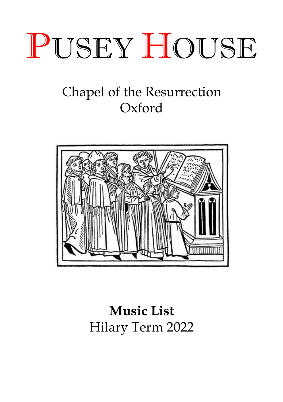

# Chapel of the Resurrection Oxford



# **Music List** Hilary Term 2022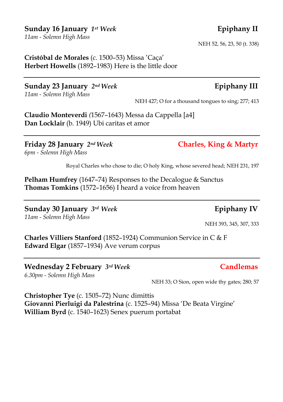## **Sunday 16 January** *1st Week* **Epiphany II**

*11am - Solemn High Mass* 

**Cristóbal de Morales** (c. 1500–53) Missa 'Caça' **Herbert Howells** (1892–1983) Here is the little door

**Sunday 23 January** *2ndWeek* **Epiphany III** *11am - Solemn High Mass* 

**Claudio Monteverdi** *(*1567–1643) Messa da Cappella [a4] **Dan Locklair** (b. 1949) Ubi caritas et amor

**Friday 28 January** *2ndWeek* **Charles, King & Martyr** *6pm - Solemn High Mass* 

Royal Charles who chose to die; O holy King, whose severed head; NEH 231, 197

**Pelham Humfrey** (1647–74) Responses to the Decalogue & Sanctus **Thomas Tomkins** (1572–1656) I heard a voice from heaven

**Sunday 30 January** *3rd Week* **Epiphany IV** *11am - Solemn High Mass* 

NEH 393, 345, 307, 333

**Charles Villiers Stanford** (1852–1924) Communion Service in C & F **Edward Elgar** (1857–1934) Ave verum corpus

**Wednesday 2 February** *3rdWeek* **Candlemas** *6.30pm - Solemn High Mass* 

NEH 33; O Sion, open wide thy gates; 280; 57

**Christopher Tye** (c. 1505–72) Nunc dimittis **Giovanni Pierluigi da Palestrina** (c. 1525–94) Missa 'De Beata Virgine' **William Byrd** (c. 1540–1623) Senex puerum portabat

NEH 52, 56, 23, 50 (t. 338)

## NEH 427; O for a thousand tongues to sing; 277; 413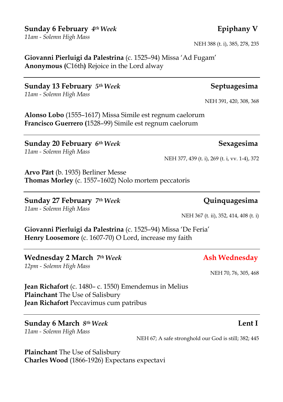## **Sunday 6 February** *4th Week* **Epiphany V**

*11am - Solemn High Mass* 

**Giovanni Pierluigi da Palestrina** (c. 1525–94) Missa 'Ad Fugam' **Anonymous (**C16th**)** Rejoice in the Lord alway

**Sunday 13 February** *5th Week* **Septuagesima** *11am - Solemn High Mass* 

**Alonso Lobo** (1555–1617) Missa Simile est regnum caelorum **Francisco Guerrero (**1528–99) Simile est regnum caelorum

**Sunday 20 February** *6th Week* **Sexagesima** *11am - Solemn High Mass* 

NEH 377, 439 (t. i), 269 (t. i, vv. 1-4), 372

**Arvo Pärt** (b. 1935) Berliner Messe **Thomas Morley** (c. 1557–1602) Nolo mortem peccatoris

**Sunday 27 February** *7th Week* **Quinquagesima** *11am - Solemn High Mass* 

NEH 367 (t. ii), 352, 414, 408 (t. i)

**Giovanni Pierluigi da Palestrina** (c. 1525–94) Missa 'De Feria' **Henry Loosemore** (c. 1607-70) O Lord, increase my faith

**Wednesday 2 March** *7th Week* **Ash Wednesday** *12pm - Solemn High Mass* 

**Jean Richafort** (c. 1480– c. 1550) Emendemus in Melius **Plainchant** The Use of Salisbury

**Jean Richafort** Peccavimus cum patribus

**Sunday 6 March** *8th Week* **Lent I** *11am - Solemn High Mass* 

NEH 67; A safe stronghold our God is still; 382; 445

**Plainchant** The Use of Salisbury **Charles Wood** (1866-1926) Expectans expectavi

NEH 388 (t. i), 385, 278, 235

NEH 391, 420, 308, 368

NEH 70, 76, 305, 468